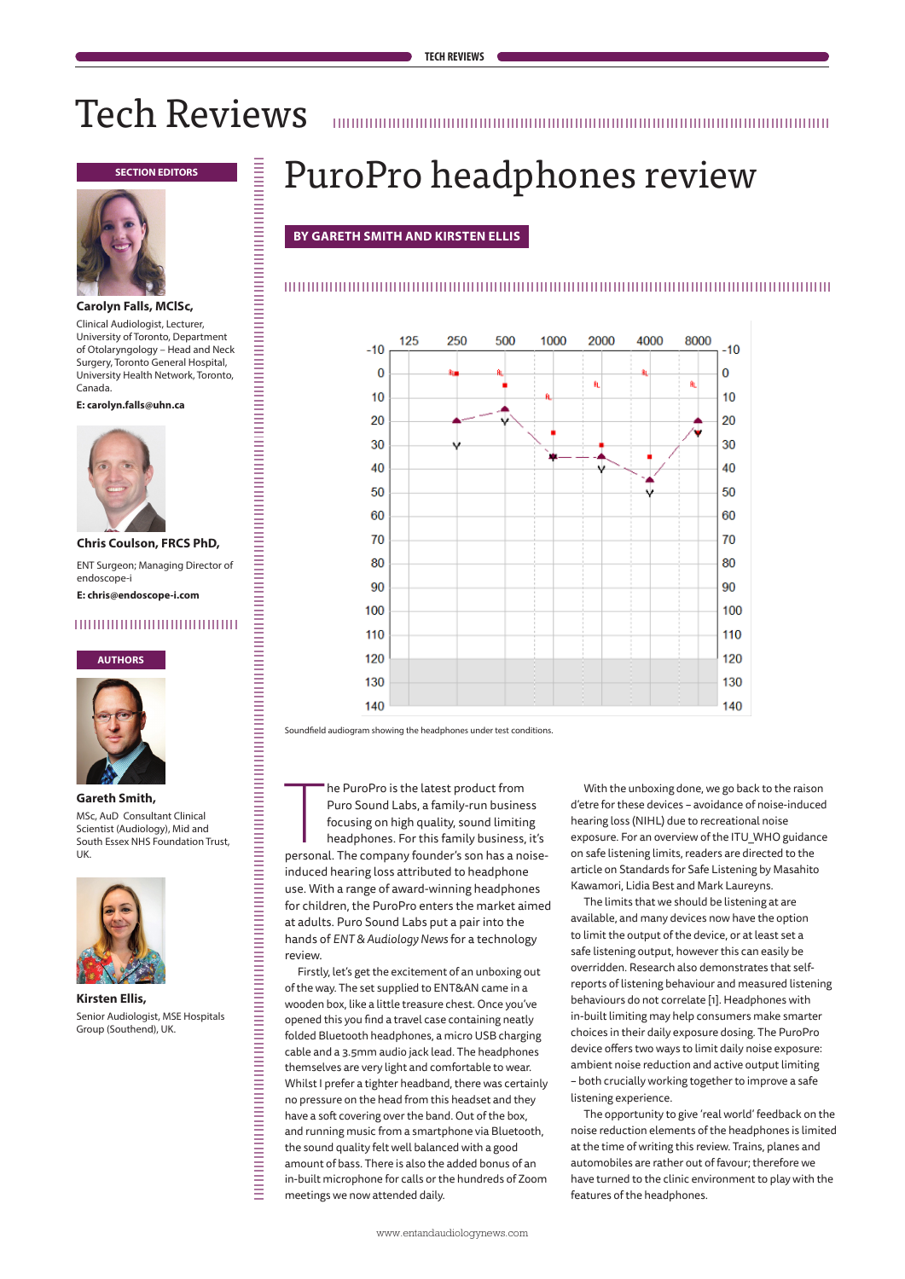# Tech Reviews

### **SECTION EDITOR SECTION EDITORS**



### **Carolyn Falls, MClSc,**

Clinical Audiologist, Lecturer, University of Toronto, Department of Otolaryngology – Head and Neck Surgery, Toronto General Hospital, University Health Network, Toronto, Canada.

### **E: carolyn.falls@uhn.ca**



**Chris Coulson, FRCS PhD,**

ENT Surgeon; Managing Director of endoscope-i

**E: chris@endoscope-i.com**

# 





### **Gareth Smith,**

MSc, AuD Consultant Clinical Scientist (Audiology), Mid and South Essex NHS Foundation Trust, UK.



**Kirsten Ellis,** Senior Audiologist, MSE Hospitals Group (Southend), UK.

# 

# PuroPro headphones review

# **BY GARETH SMITH AND KIRSTEN ELLIS**

**TECH REVIEWS**

# 



Soundfield audiogram showing the headphones under test conditions.

he PuroPro is the latest product from<br>Puro Sound Labs, a family-run business<br>focusing on high quality, sound limiting<br>headphones. For this family business, it's<br>personal. The company founder's son has a noisehe PuroPro is the latest product from Puro Sound Labs, a family-run business focusing on high quality, sound limiting headphones. For this family business, it's induced hearing loss attributed to headphone use. With a range of award-winning headphones for children, the PuroPro enters the market aimed at adults. Puro Sound Labs put a pair into the hands of *ENT & Audiology News* for a technology review.

Firstly, let's get the excitement of an unboxing out of the way. The set supplied to ENT&AN came in a wooden box, like a little treasure chest. Once you've opened this you find a travel case containing neatly folded Bluetooth headphones, a micro USB charging cable and a 3.5mm audio jack lead. The headphones themselves are very light and comfortable to wear. Whilst I prefer a tighter headband, there was certainly no pressure on the head from this headset and they have a soft covering over the band. Out of the box, and running music from a smartphone via Bluetooth, the sound quality felt well balanced with a good amount of bass. There is also the added bonus of an in-built microphone for calls or the hundreds of Zoom meetings we now attended daily.

With the unboxing done, we go back to the raison d'etre for these devices – avoidance of noise-induced hearing loss (NIHL) due to recreational noise exposure. For an overview of the ITU\_WHO guidance on safe listening limits, readers are directed to the article on Standards for Safe Listening by Masahito Kawamori, Lidia Best and Mark Laureyns.

The limits that we should be listening at are available, and many devices now have the option to limit the output of the device, or at least set a safe listening output, however this can easily be overridden. Research also demonstrates that selfreports of listening behaviour and measured listening behaviours do not correlate [1]. Headphones with in-built limiting may help consumers make smarter choices in their daily exposure dosing. The PuroPro device offers two ways to limit daily noise exposure: ambient noise reduction and active output limiting – both crucially working together to improve a safe listening experience.

The opportunity to give 'real world' feedback on the noise reduction elements of the headphones is limited at the time of writing this review. Trains, planes and automobiles are rather out of favour; therefore we have turned to the clinic environment to play with the features of the headphones.